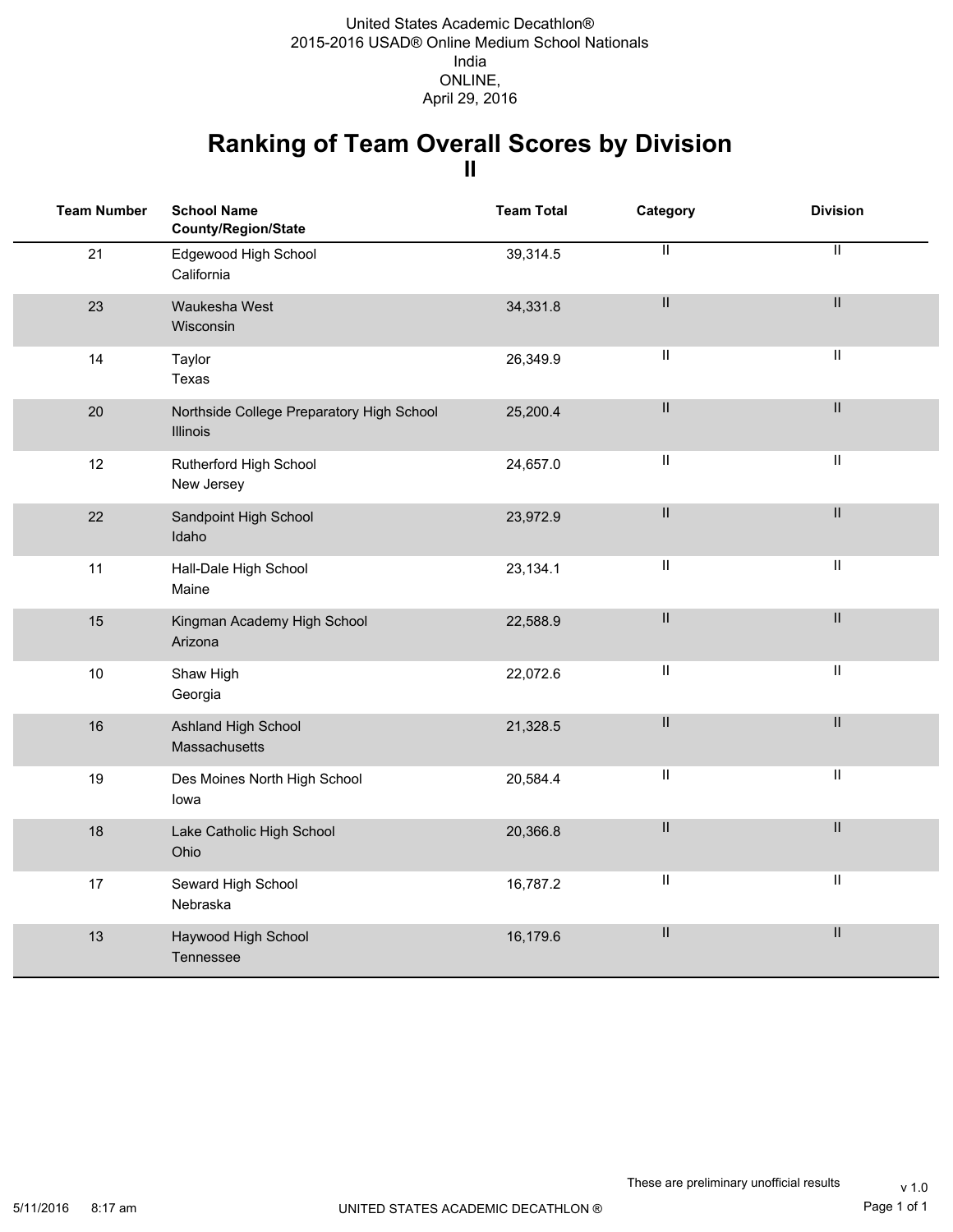### **Ranking of Team Overall Scores by Division II**

| <b>Team Number</b> | <b>School Name</b><br>County/Region/State             | <b>Team Total</b> | Category                                  | <b>Division</b>            |
|--------------------|-------------------------------------------------------|-------------------|-------------------------------------------|----------------------------|
| 21                 | Edgewood High School<br>California                    | 39,314.5          | $\mathbf{II}$                             | $\mathbf{H}$               |
| 23                 | Waukesha West<br>Wisconsin                            | 34,331.8          | $\mathsf{II}$                             | $\ensuremath{\mathsf{II}}$ |
| 14                 | Taylor<br>Texas                                       | 26,349.9          | $\ensuremath{\mathsf{II}}$                | $\ensuremath{\mathsf{II}}$ |
| 20                 | Northside College Preparatory High School<br>Illinois | 25,200.4          | $\ensuremath{\mathsf{II}}$                | $\mathsf{II}$              |
| 12                 | Rutherford High School<br>New Jersey                  | 24,657.0          | Ш                                         | $\ensuremath{\mathsf{II}}$ |
| 22                 | Sandpoint High School<br>Idaho                        | 23,972.9          | $\mathbf{II}$                             | $\ensuremath{\mathsf{II}}$ |
| 11                 | Hall-Dale High School<br>Maine                        | 23,134.1          | $\ensuremath{\mathsf{II}}$                | $\ensuremath{\mathsf{II}}$ |
| 15                 | Kingman Academy High School<br>Arizona                | 22,588.9          | $\ensuremath{\mathsf{II}}$                | $\mathbf{II}$              |
| 10                 | Shaw High<br>Georgia                                  | 22,072.6          | Ш                                         | $\ensuremath{\mathsf{II}}$ |
| 16                 | Ashland High School<br>Massachusetts                  | 21,328.5          | $\mathbf{II}$                             | $\mathbf{II}$              |
| 19                 | Des Moines North High School<br>lowa                  | 20,584.4          | $\vert\vert$                              | $\ensuremath{\mathsf{II}}$ |
| 18                 | Lake Catholic High School<br>Ohio                     | 20,366.8          | $\label{eq:1} \prod_{i=1}^n \mathbb{I}_i$ | $\mathsf{II}$              |
| 17                 | Seward High School<br>Nebraska                        | 16,787.2          | Ш                                         | $\ensuremath{\mathsf{II}}$ |
| 13                 | Haywood High School<br>Tennessee                      | 16,179.6          | $\mathbf{II}$                             | $\ensuremath{\mathsf{II}}$ |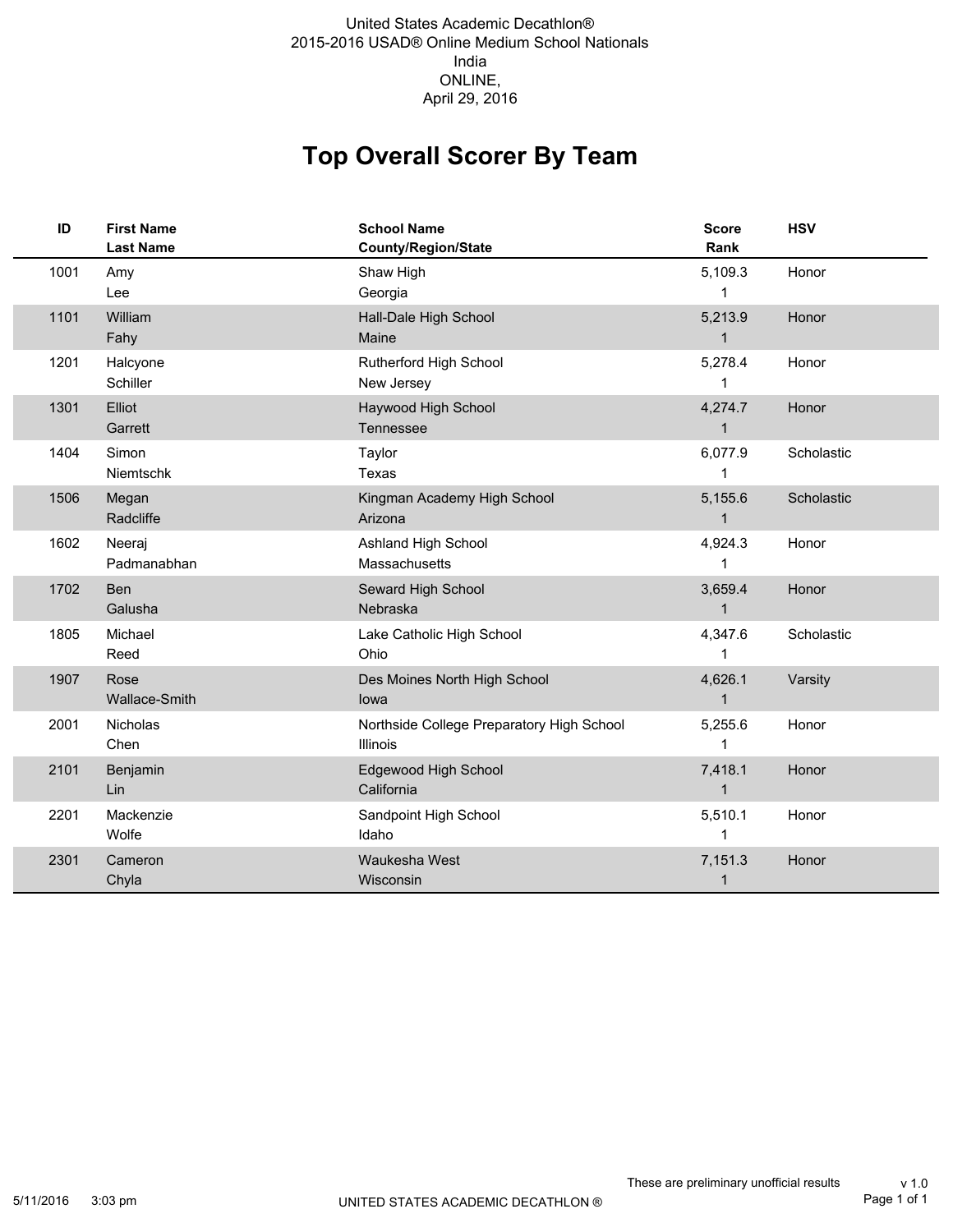#### 2015-2016 USAD® Online Medium School Nationals India ONLINE, United States Academic Decathlon® April 29, 2016

## **Top Overall Scorer By Team**

| ID   | <b>First Name</b><br><b>Last Name</b> | <b>School Name</b><br><b>County/Region/State</b>      | <b>Score</b><br>Rank    | <b>HSV</b> |
|------|---------------------------------------|-------------------------------------------------------|-------------------------|------------|
| 1001 | Amy<br>Lee                            | Shaw High<br>Georgia                                  | 5,109.3<br>1            | Honor      |
| 1101 | William<br>Fahy                       | Hall-Dale High School<br>Maine                        | 5,213.9<br>$\mathbf{1}$ | Honor      |
| 1201 | Halcyone<br>Schiller                  | Rutherford High School<br>New Jersey                  | 5,278.4<br>1            | Honor      |
| 1301 | Elliot<br>Garrett                     | Haywood High School<br>Tennessee                      | 4,274.7<br>$\mathbf{1}$ | Honor      |
| 1404 | Simon<br>Niemtschk                    | Taylor<br>Texas                                       | 6,077.9<br>1            | Scholastic |
| 1506 | Megan<br>Radcliffe                    | Kingman Academy High School<br>Arizona                | 5,155.6<br>$\mathbf{1}$ | Scholastic |
| 1602 | Neeraj<br>Padmanabhan                 | Ashland High School<br>Massachusetts                  | 4,924.3<br>1            | Honor      |
| 1702 | Ben<br>Galusha                        | Seward High School<br>Nebraska                        | 3,659.4<br>$\mathbf{1}$ | Honor      |
| 1805 | Michael<br>Reed                       | Lake Catholic High School<br>Ohio                     | 4,347.6<br>1            | Scholastic |
| 1907 | Rose<br>Wallace-Smith                 | Des Moines North High School<br>lowa                  | 4,626.1<br>$\mathbf{1}$ | Varsity    |
| 2001 | Nicholas<br>Chen                      | Northside College Preparatory High School<br>Illinois | 5,255.6<br>1            | Honor      |
| 2101 | Benjamin<br>Lin                       | Edgewood High School<br>California                    | 7,418.1<br>$\mathbf{1}$ | Honor      |
| 2201 | Mackenzie<br>Wolfe                    | Sandpoint High School<br>Idaho                        | 5,510.1<br>1            | Honor      |
| 2301 | Cameron<br>Chyla                      | Waukesha West<br>Wisconsin                            | 7,151.3<br>$\mathbf 1$  | Honor      |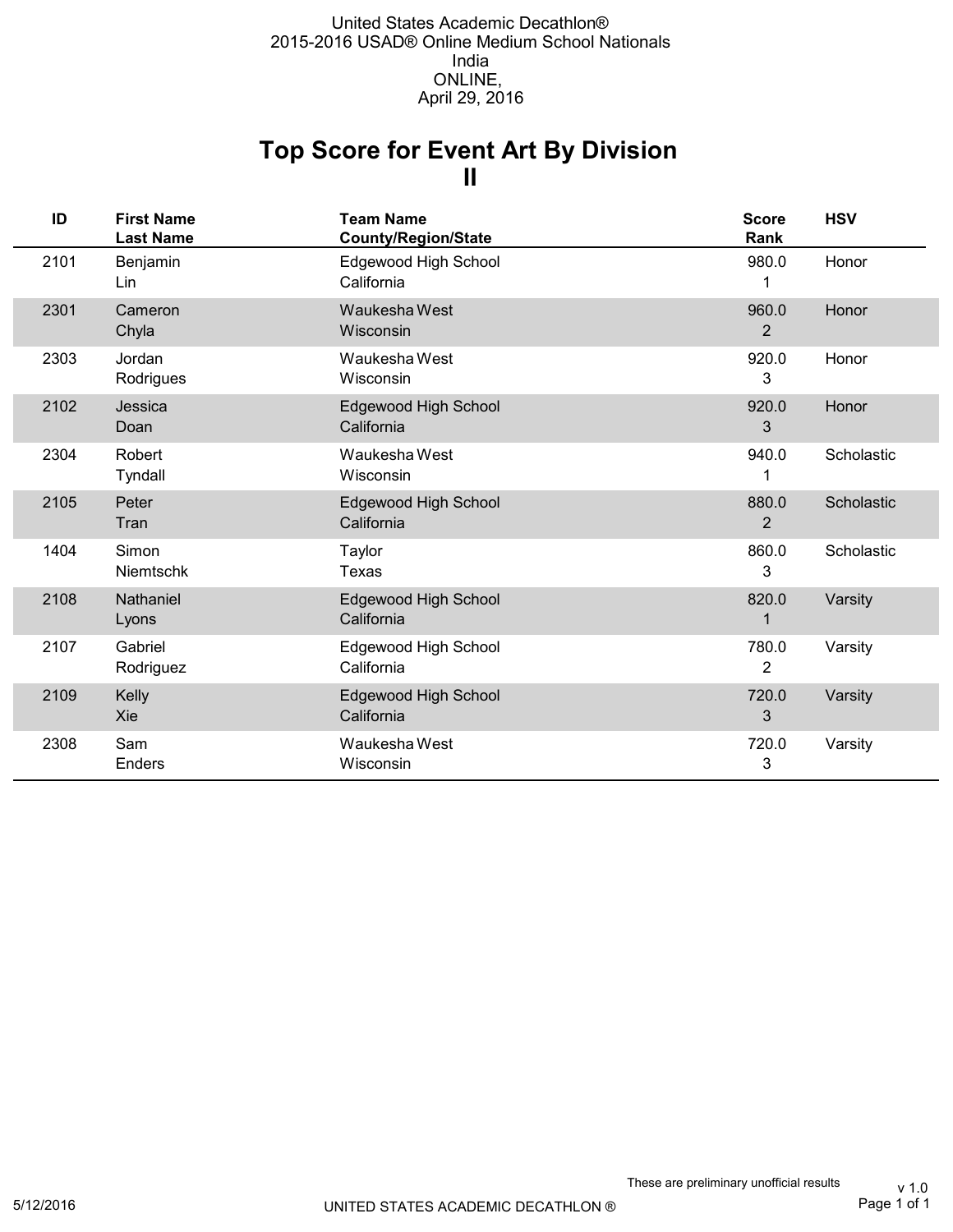## **II Top Score for Event Art By Division**

| ID   | <b>First Name</b><br><b>Last Name</b> | <b>Team Name</b><br><b>County/Region/State</b> | <b>Score</b><br>Rank    | <b>HSV</b> |
|------|---------------------------------------|------------------------------------------------|-------------------------|------------|
| 2101 | Benjamin<br>Lin                       | Edgewood High School<br>California             | 980.0<br>1              | Honor      |
| 2301 | Cameron<br>Chyla                      | Waukesha West<br>Wisconsin                     | 960.0<br>$\overline{2}$ | Honor      |
| 2303 | Jordan<br>Rodrigues                   | Waukesha West<br>Wisconsin                     | 920.0<br>3              | Honor      |
| 2102 | Jessica<br>Doan                       | Edgewood High School<br>California             | 920.0<br>3              | Honor      |
| 2304 | Robert<br>Tyndall                     | Waukesha West<br>Wisconsin                     | 940.0                   | Scholastic |
| 2105 | Peter<br>Tran                         | Edgewood High School<br>California             | 880.0<br>$\overline{2}$ | Scholastic |
| 1404 | Simon<br><b>Niemtschk</b>             | Taylor<br>Texas                                | 860.0<br>3              | Scholastic |
| 2108 | Nathaniel<br>Lyons                    | Edgewood High School<br>California             | 820.0<br>1              | Varsity    |
| 2107 | Gabriel<br>Rodriguez                  | Edgewood High School<br>California             | 780.0<br>2              | Varsity    |
| 2109 | Kelly<br>Xie                          | Edgewood High School<br>California             | 720.0<br>3              | Varsity    |
| 2308 | Sam<br>Enders                         | Waukesha West<br>Wisconsin                     | 720.0<br>3              | Varsity    |

Page 1 of 1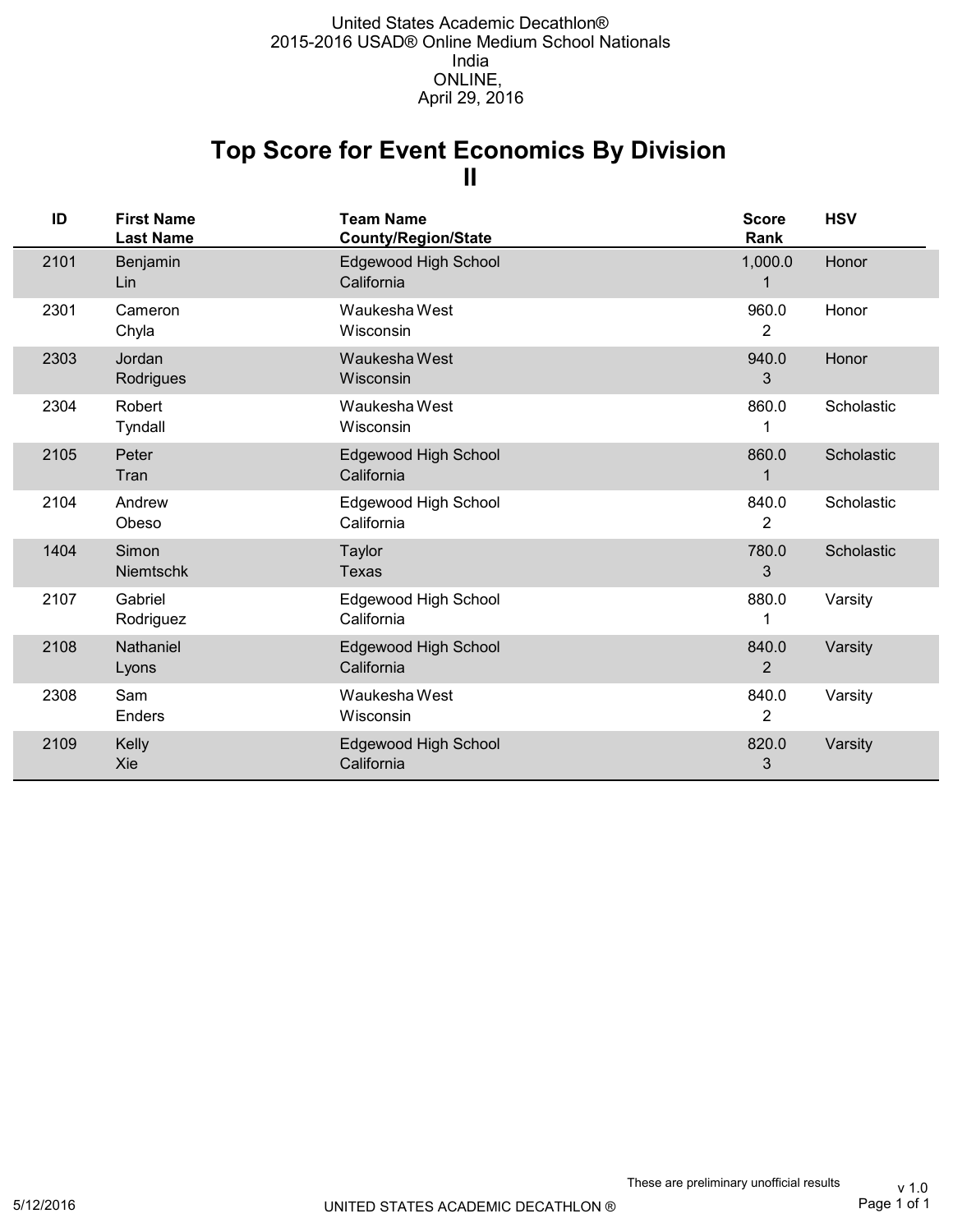## **II Top Score for Event Economics By Division**

| ID   | <b>First Name</b><br><b>Last Name</b> | <b>Team Name</b><br><b>County/Region/State</b> | <b>Score</b><br>Rank    | <b>HSV</b> |
|------|---------------------------------------|------------------------------------------------|-------------------------|------------|
| 2101 | Benjamin<br>Lin                       | Edgewood High School<br>California             | 1,000.0                 | Honor      |
| 2301 | Cameron<br>Chyla                      | Waukesha West<br>Wisconsin                     | 960.0<br>2              | Honor      |
| 2303 | Jordan<br>Rodrigues                   | Waukesha West<br>Wisconsin                     | 940.0<br>3              | Honor      |
| 2304 | Robert<br>Tyndall                     | Waukesha West<br>Wisconsin                     | 860.0                   | Scholastic |
| 2105 | Peter<br>Tran                         | Edgewood High School<br>California             | 860.0                   | Scholastic |
| 2104 | Andrew<br>Obeso                       | Edgewood High School<br>California             | 840.0<br>$\overline{c}$ | Scholastic |
| 1404 | Simon<br><b>Niemtschk</b>             | <b>Taylor</b><br>Texas                         | 780.0<br>3              | Scholastic |
| 2107 | Gabriel<br>Rodriguez                  | Edgewood High School<br>California             | 880.0                   | Varsity    |
| 2108 | Nathaniel<br>Lyons                    | Edgewood High School<br>California             | 840.0<br>2              | Varsity    |
| 2308 | Sam<br>Enders                         | Waukesha West<br>Wisconsin                     | 840.0<br>$\overline{2}$ | Varsity    |
| 2109 | <b>Kelly</b><br>Xie                   | Edgewood High School<br>California             | 820.0<br>3              | Varsity    |

Page 1 of 1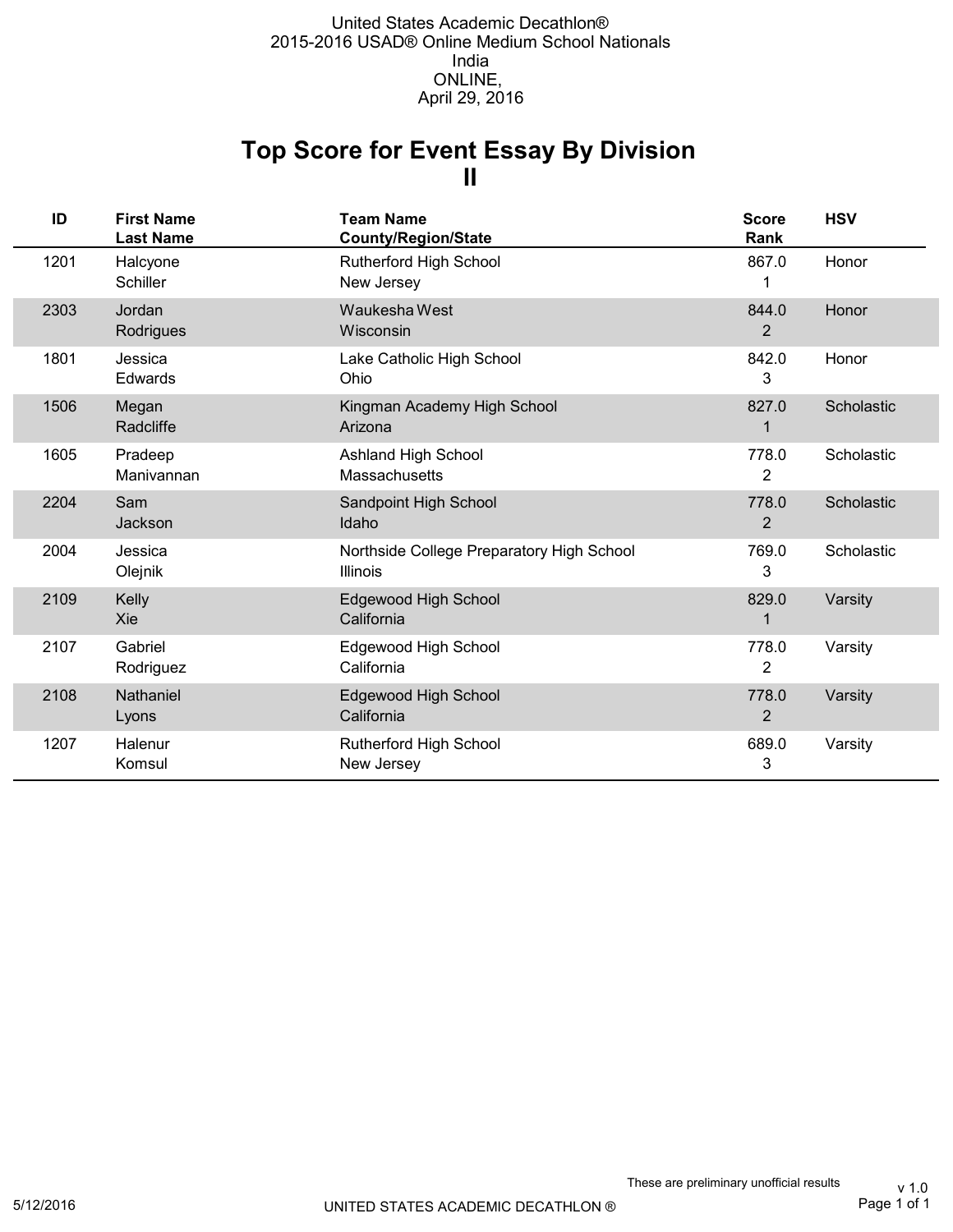### **II Top Score for Event Essay By Division**

| ID   | <b>First Name</b><br><b>Last Name</b> | <b>Team Name</b><br><b>County/Region/State</b>        | <b>Score</b><br><b>Rank</b> | <b>HSV</b> |
|------|---------------------------------------|-------------------------------------------------------|-----------------------------|------------|
| 1201 | Halcyone<br>Schiller                  | Rutherford High School<br>New Jersey                  | 867.0<br>1                  | Honor      |
| 2303 | Jordan<br>Rodrigues                   | Waukesha West<br>Wisconsin                            | 844.0<br>2                  | Honor      |
| 1801 | Jessica<br>Edwards                    | Lake Catholic High School<br>Ohio                     | 842.0<br>3                  | Honor      |
| 1506 | Megan<br>Radcliffe                    | Kingman Academy High School<br>Arizona                | 827.0<br>1                  | Scholastic |
| 1605 | Pradeep<br>Manivannan                 | Ashland High School<br><b>Massachusetts</b>           | 778.0<br>2                  | Scholastic |
| 2204 | Sam<br>Jackson                        | Sandpoint High School<br>Idaho                        | 778.0<br>2                  | Scholastic |
| 2004 | Jessica<br>Olejnik                    | Northside College Preparatory High School<br>Illinois | 769.0<br>3                  | Scholastic |
| 2109 | Kelly<br>Xie                          | Edgewood High School<br>California                    | 829.0<br>1                  | Varsity    |
| 2107 | Gabriel<br>Rodriguez                  | Edgewood High School<br>California                    | 778.0<br>2                  | Varsity    |
| 2108 | <b>Nathaniel</b><br>Lyons             | Edgewood High School<br>California                    | 778.0<br>$\overline{2}$     | Varsity    |
| 1207 | Halenur<br>Komsul                     | Rutherford High School<br>New Jersey                  | 689.0<br>3                  | Varsity    |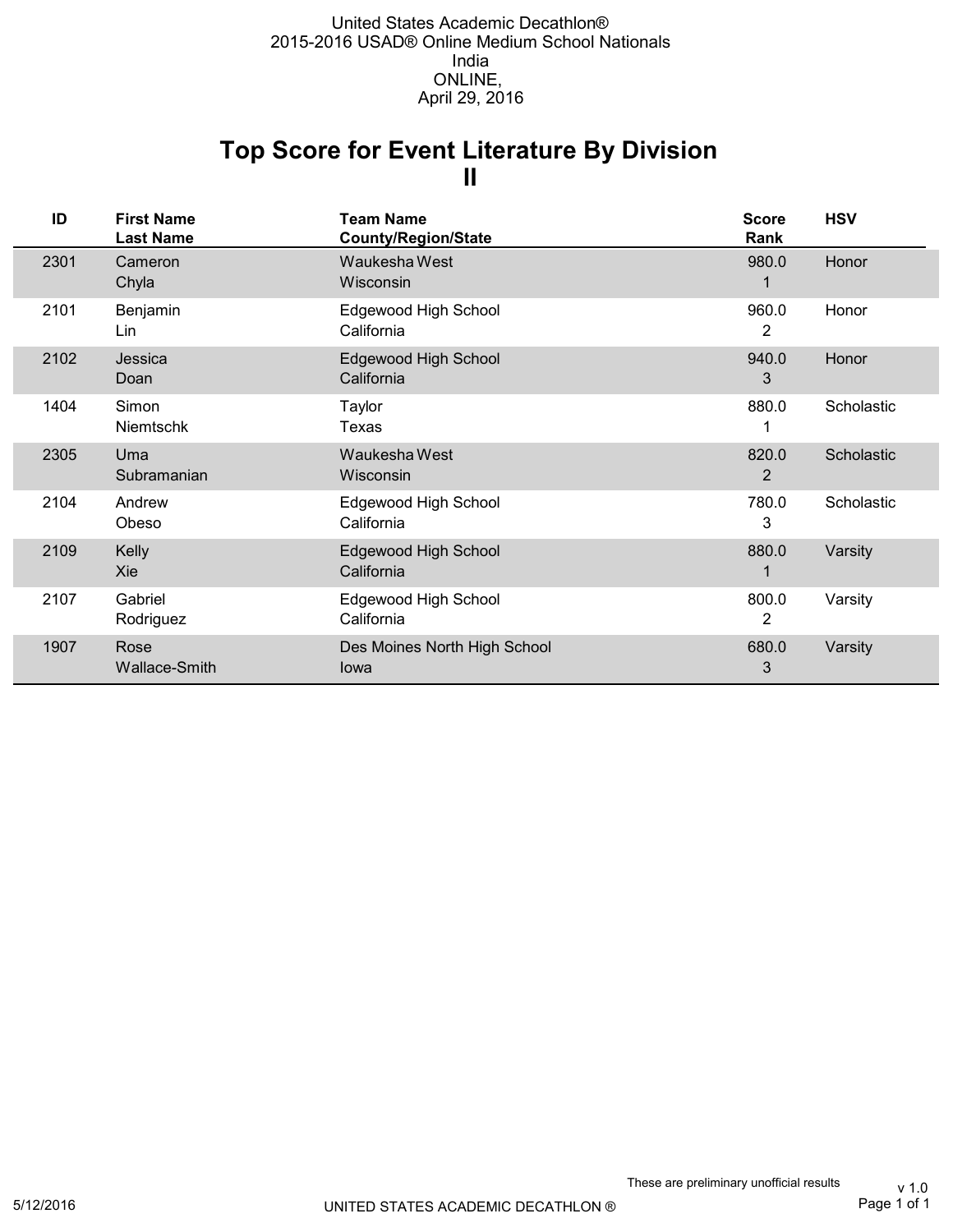### **II Top Score for Event Literature By Division**

| ID   | <b>First Name</b><br><b>Last Name</b> | <b>Team Name</b><br><b>County/Region/State</b> | <b>Score</b><br>Rank    | <b>HSV</b> |
|------|---------------------------------------|------------------------------------------------|-------------------------|------------|
| 2301 | Cameron<br>Chyla                      | Waukesha West<br>Wisconsin                     | 980.0                   | Honor      |
| 2101 | Benjamin<br>Lin                       | Edgewood High School<br>California             | 960.0<br>2              | Honor      |
| 2102 | Jessica<br>Doan                       | Edgewood High School<br>California             | 940.0<br>3              | Honor      |
| 1404 | Simon<br>Niemtschk                    | Taylor<br>Texas                                | 880.0                   | Scholastic |
| 2305 | Uma<br>Subramanian                    | Waukesha West<br>Wisconsin                     | 820.0<br>$\overline{2}$ | Scholastic |
| 2104 | Andrew<br>Obeso                       | Edgewood High School<br>California             | 780.0<br>3              | Scholastic |
| 2109 | Kelly<br>Xie                          | <b>Edgewood High School</b><br>California      | 880.0                   | Varsity    |
| 2107 | Gabriel<br>Rodriguez                  | Edgewood High School<br>California             | 800.0<br>2              | Varsity    |
| 1907 | Rose<br><b>Wallace-Smith</b>          | Des Moines North High School<br>lowa           | 680.0<br>3              | Varsity    |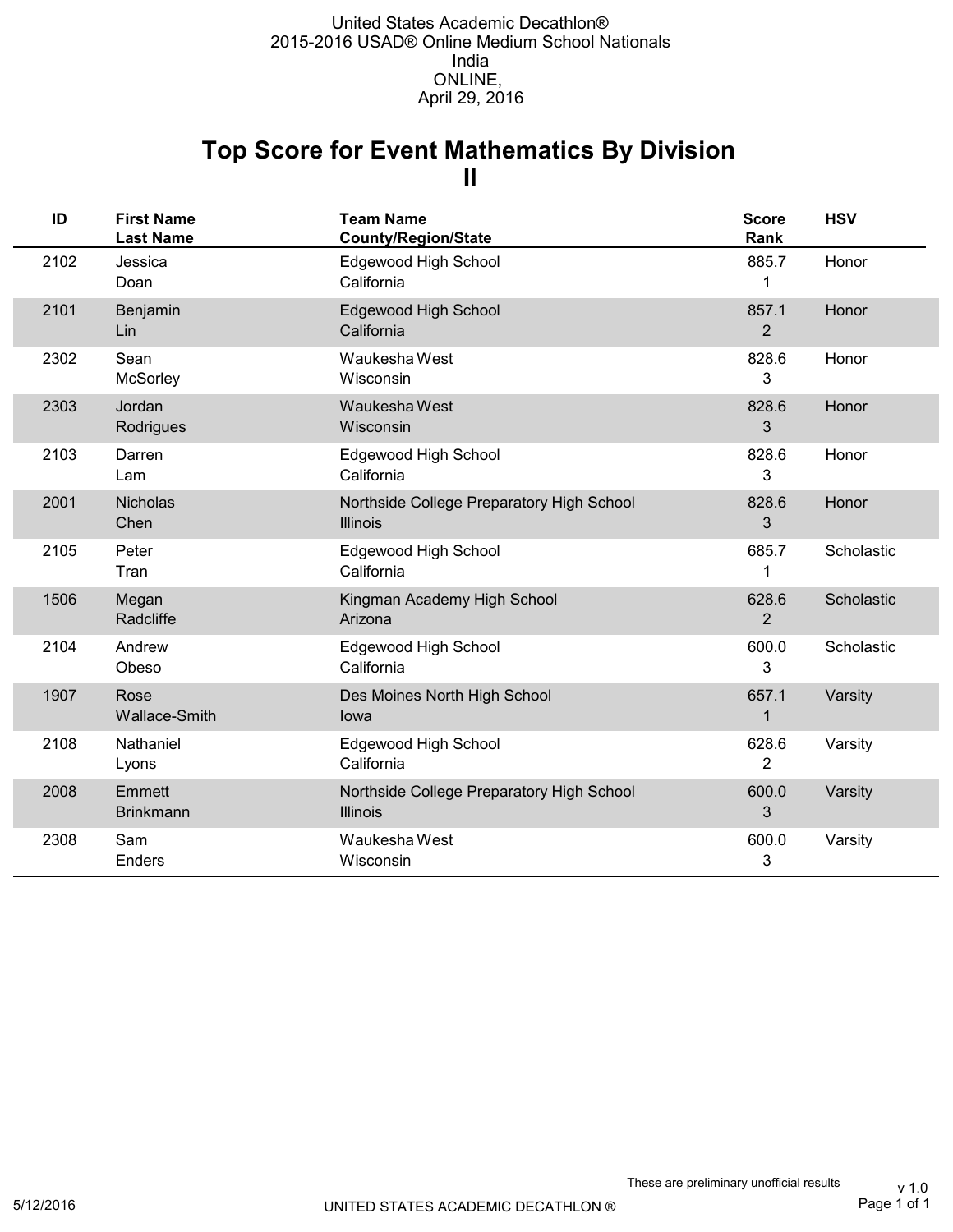## **II Top Score for Event Mathematics By Division**

| ID   | <b>First Name</b><br><b>Last Name</b> | <b>Team Name</b><br><b>County/Region/State</b>               | <b>Score</b><br>Rank    | <b>HSV</b> |
|------|---------------------------------------|--------------------------------------------------------------|-------------------------|------------|
| 2102 | Jessica<br>Doan                       | Edgewood High School<br>California                           | 885.7<br>1              | Honor      |
| 2101 | Benjamin<br>Lin                       | Edgewood High School<br>California                           | 857.1<br>$\overline{2}$ | Honor      |
| 2302 | Sean<br><b>McSorley</b>               | Waukesha West<br>Wisconsin                                   | 828.6<br>3              | Honor      |
| 2303 | Jordan<br>Rodrigues                   | Waukesha West<br>Wisconsin                                   | 828.6<br>3              | Honor      |
| 2103 | Darren<br>Lam                         | Edgewood High School<br>California                           | 828.6<br>3              | Honor      |
| 2001 | <b>Nicholas</b><br>Chen               | Northside College Preparatory High School<br><b>Illinois</b> | 828.6<br>3              | Honor      |
| 2105 | Peter<br>Tran                         | Edgewood High School<br>California                           | 685.7<br>1              | Scholastic |
| 1506 | Megan<br>Radcliffe                    | Kingman Academy High School<br>Arizona                       | 628.6<br>$\overline{2}$ | Scholastic |
| 2104 | Andrew<br>Obeso                       | Edgewood High School<br>California                           | 600.0<br>3              | Scholastic |
| 1907 | Rose<br>Wallace-Smith                 | Des Moines North High School<br>lowa                         | 657.1<br>1              | Varsity    |
| 2108 | Nathaniel<br>Lyons                    | Edgewood High School<br>California                           | 628.6<br>$\overline{2}$ | Varsity    |
| 2008 | Emmett<br><b>Brinkmann</b>            | Northside College Preparatory High School<br><b>Illinois</b> | 600.0<br>3              | Varsity    |
| 2308 | Sam<br>Enders                         | Waukesha West<br>Wisconsin                                   | 600.0<br>3              | Varsity    |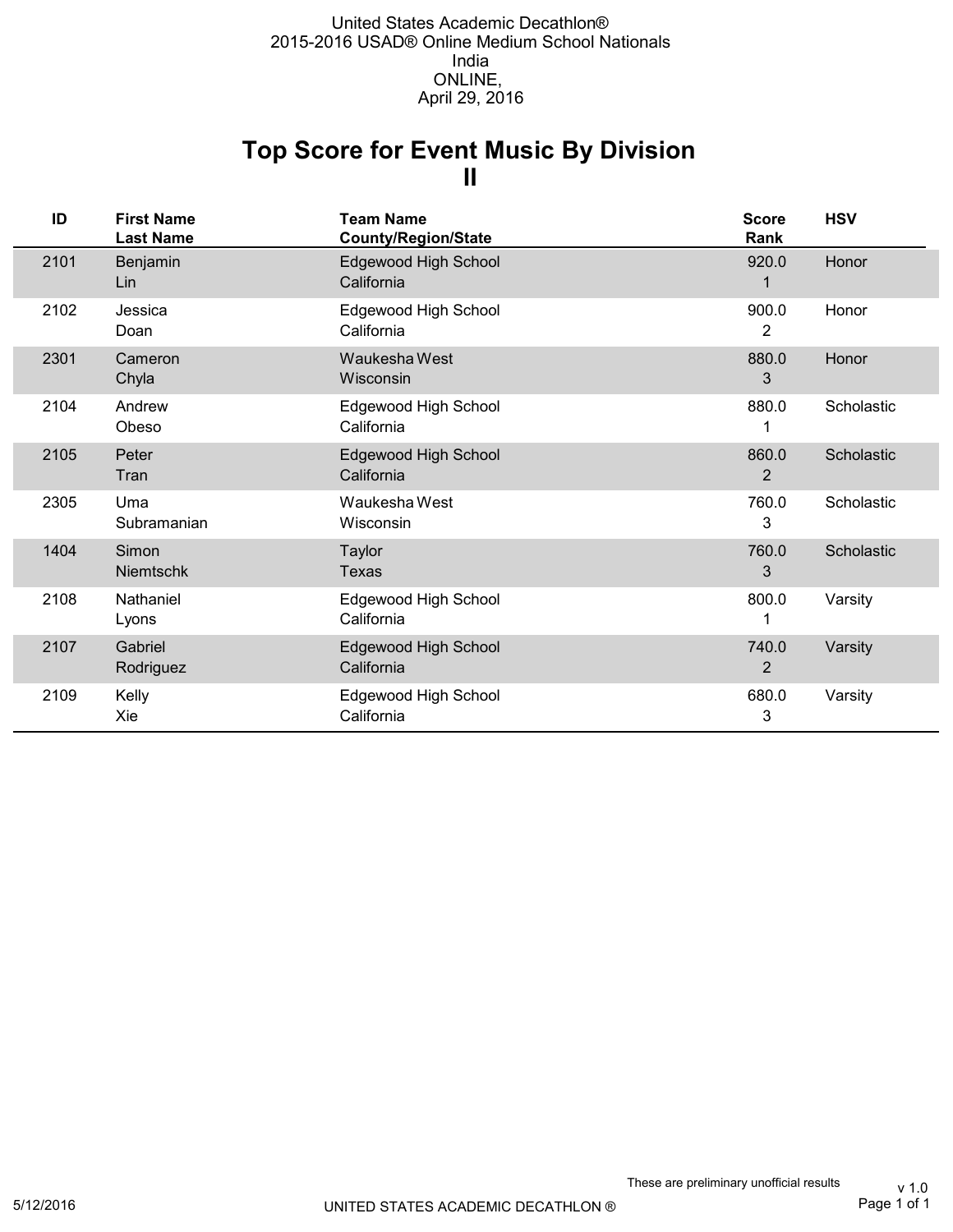## **II Top Score for Event Music By Division**

| ID   | <b>First Name</b><br><b>Last Name</b> | <b>Team Name</b><br>County/Region/State | <b>Score</b><br>Rank    | <b>HSV</b> |
|------|---------------------------------------|-----------------------------------------|-------------------------|------------|
| 2101 | Benjamin<br>Lin                       | Edgewood High School<br>California      | 920.0                   | Honor      |
| 2102 | Jessica<br>Doan                       | Edgewood High School<br>California      | 900.0<br>2              | Honor      |
| 2301 | Cameron<br>Chyla                      | Waukesha West<br>Wisconsin              | 880.0<br>3              | Honor      |
| 2104 | Andrew<br>Obeso                       | Edgewood High School<br>California      | 880.0                   | Scholastic |
| 2105 | Peter<br>Tran                         | Edgewood High School<br>California      | 860.0<br>2              | Scholastic |
| 2305 | Uma<br>Subramanian                    | Waukesha West<br>Wisconsin              | 760.0<br>3              | Scholastic |
| 1404 | Simon<br>Niemtschk                    | Taylor<br><b>Texas</b>                  | 760.0<br>3              | Scholastic |
| 2108 | Nathaniel<br>Lyons                    | Edgewood High School<br>California      | 800.0                   | Varsity    |
| 2107 | Gabriel<br>Rodriguez                  | Edgewood High School<br>California      | 740.0<br>$\overline{2}$ | Varsity    |
| 2109 | Kelly<br>Xie                          | Edgewood High School<br>California      | 680.0<br>3              | Varsity    |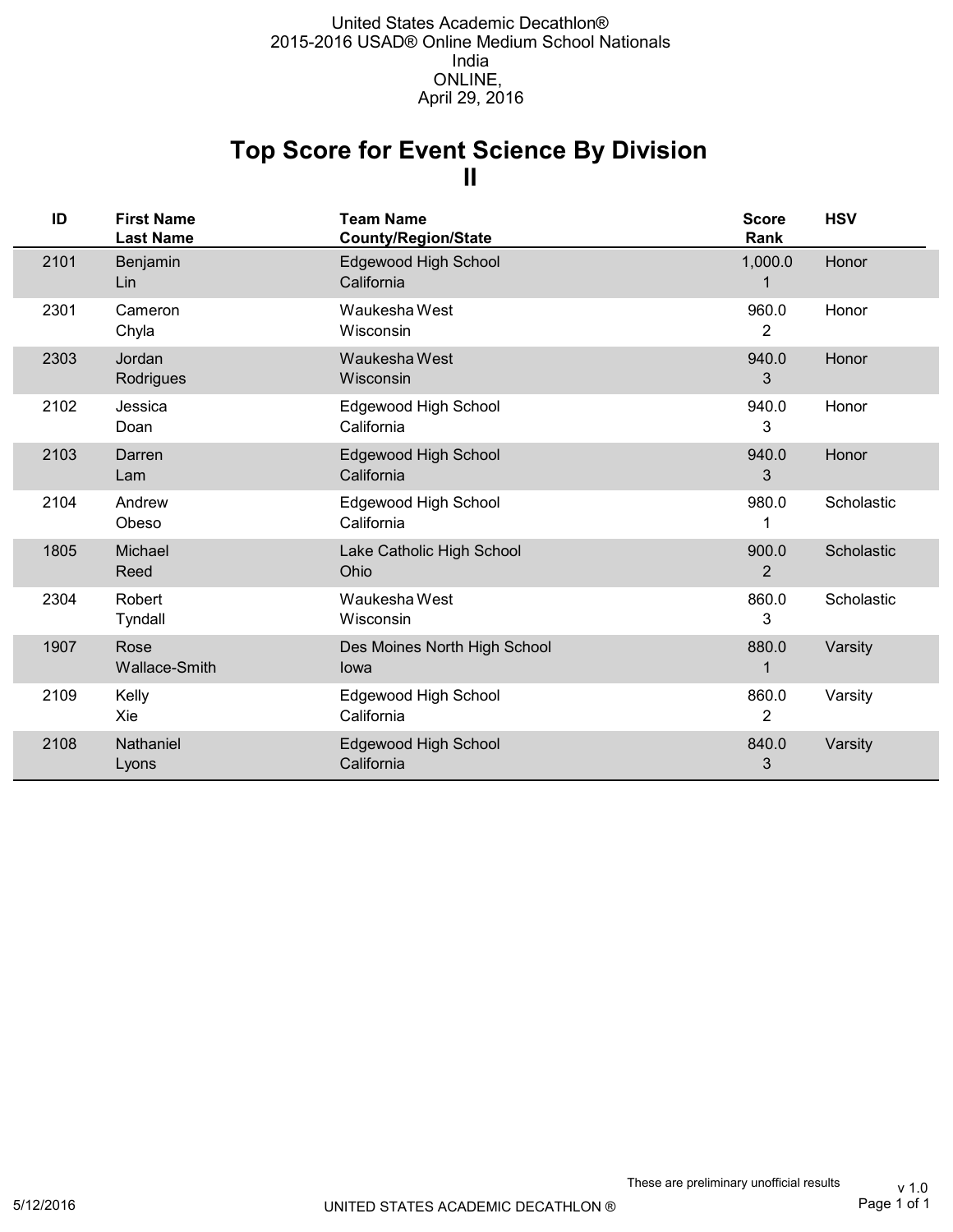## **II Top Score for Event Science By Division**

| ID   | <b>First Name</b><br><b>Last Name</b> | <b>Team Name</b><br><b>County/Region/State</b> | <b>Score</b><br>Rank    | <b>HSV</b> |
|------|---------------------------------------|------------------------------------------------|-------------------------|------------|
| 2101 | Benjamin<br>Lin                       | Edgewood High School<br>California             | 1,000.0                 | Honor      |
| 2301 | Cameron<br>Chyla                      | Waukesha West<br>Wisconsin                     | 960.0<br>2              | Honor      |
| 2303 | Jordan<br>Rodrigues                   | Waukesha West<br>Wisconsin                     | 940.0<br>3              | Honor      |
| 2102 | Jessica<br>Doan                       | Edgewood High School<br>California             | 940.0<br>3              | Honor      |
| 2103 | Darren<br>Lam                         | Edgewood High School<br>California             | 940.0<br>3              | Honor      |
| 2104 | Andrew<br>Obeso                       | Edgewood High School<br>California             | 980.0                   | Scholastic |
| 1805 | Michael<br>Reed                       | Lake Catholic High School<br>Ohio              | 900.0<br>$\overline{2}$ | Scholastic |
| 2304 | Robert<br>Tyndall                     | Waukesha West<br>Wisconsin                     | 860.0<br>3              | Scholastic |
| 1907 | Rose<br>Wallace-Smith                 | Des Moines North High School<br>lowa           | 880.0                   | Varsity    |
| 2109 | Kelly<br>Xie                          | Edgewood High School<br>California             | 860.0<br>$\overline{2}$ | Varsity    |
| 2108 | Nathaniel<br>Lyons                    | Edgewood High School<br>California             | 840.0<br>3              | Varsity    |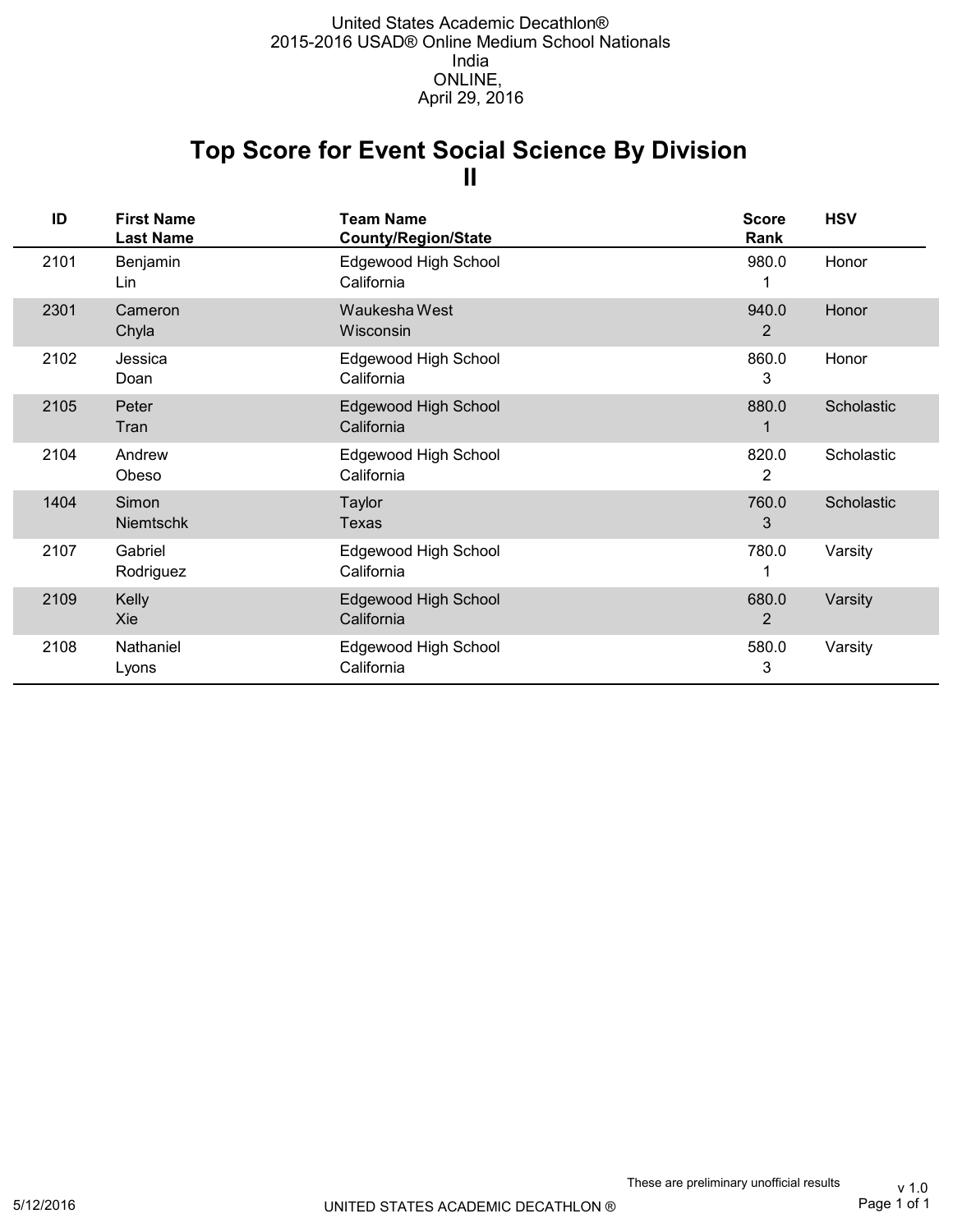## **II Top Score for Event Social Science By Division**

| ID   | <b>First Name</b><br><b>Last Name</b> | <b>Team Name</b><br><b>County/Region/State</b> | <b>Score</b><br>Rank    | <b>HSV</b> |
|------|---------------------------------------|------------------------------------------------|-------------------------|------------|
| 2101 | Benjamin<br>Lin                       | Edgewood High School<br>California             | 980.0                   | Honor      |
| 2301 | Cameron<br>Chyla                      | Waukesha West<br>Wisconsin                     | 940.0<br>2              | Honor      |
| 2102 | Jessica<br>Doan                       | Edgewood High School<br>California             | 860.0<br>3              | Honor      |
| 2105 | Peter<br>Tran                         | Edgewood High School<br>California             | 880.0                   | Scholastic |
| 2104 | Andrew<br>Obeso                       | Edgewood High School<br>California             | 820.0<br>2              | Scholastic |
| 1404 | Simon<br><b>Niemtschk</b>             | <b>Taylor</b><br>Texas                         | 760.0<br>3              | Scholastic |
| 2107 | Gabriel<br>Rodriguez                  | Edgewood High School<br>California             | 780.0                   | Varsity    |
| 2109 | Kelly<br>Xie                          | Edgewood High School<br>California             | 680.0<br>$\overline{2}$ | Varsity    |
| 2108 | Nathaniel<br>Lyons                    | Edgewood High School<br>California             | 580.0<br>3              | Varsity    |